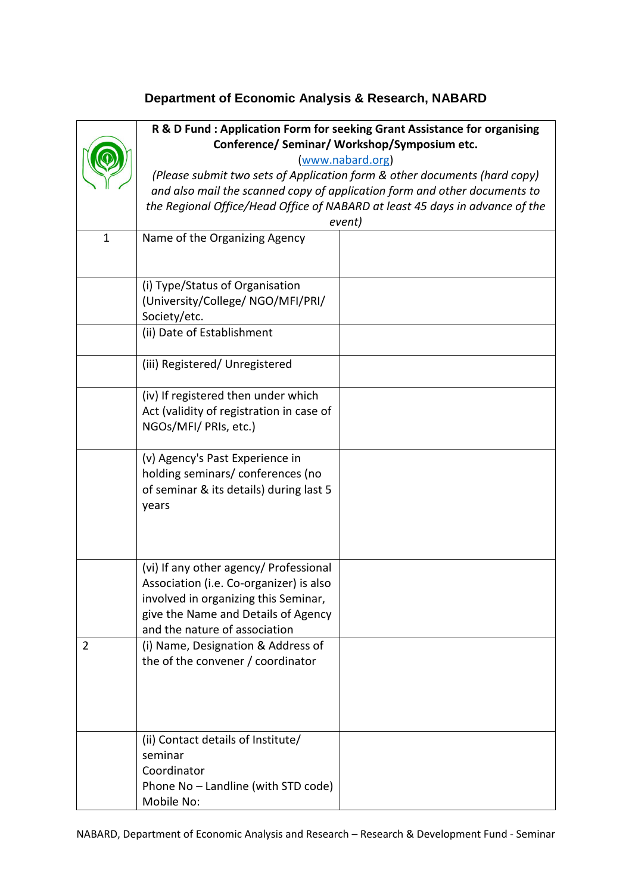## **Department of Economic Analysis & Research, NABARD**

|              | R & D Fund: Application Form for seeking Grant Assistance for organising<br>Conference/ Seminar/ Workshop/Symposium etc. |                                                                              |
|--------------|--------------------------------------------------------------------------------------------------------------------------|------------------------------------------------------------------------------|
|              | www.nabard.org)                                                                                                          |                                                                              |
|              | (Please submit two sets of Application form & other documents (hard copy)                                                |                                                                              |
|              | and also mail the scanned copy of application form and other documents to                                                |                                                                              |
|              |                                                                                                                          | the Regional Office/Head Office of NABARD at least 45 days in advance of the |
|              |                                                                                                                          | event)                                                                       |
| $\mathbf{1}$ | Name of the Organizing Agency                                                                                            |                                                                              |
|              |                                                                                                                          |                                                                              |
|              |                                                                                                                          |                                                                              |
|              | (i) Type/Status of Organisation                                                                                          |                                                                              |
|              | (University/College/ NGO/MFI/PRI/                                                                                        |                                                                              |
|              | Society/etc.                                                                                                             |                                                                              |
|              | (ii) Date of Establishment                                                                                               |                                                                              |
|              | (iii) Registered/ Unregistered                                                                                           |                                                                              |
|              |                                                                                                                          |                                                                              |
|              | (iv) If registered then under which                                                                                      |                                                                              |
|              | Act (validity of registration in case of                                                                                 |                                                                              |
|              | NGOs/MFI/ PRIs, etc.)                                                                                                    |                                                                              |
|              | (v) Agency's Past Experience in                                                                                          |                                                                              |
|              | holding seminars/conferences (no                                                                                         |                                                                              |
|              | of seminar & its details) during last 5                                                                                  |                                                                              |
|              | years                                                                                                                    |                                                                              |
|              |                                                                                                                          |                                                                              |
|              |                                                                                                                          |                                                                              |
|              |                                                                                                                          |                                                                              |
|              | (vi) If any other agency/ Professional                                                                                   |                                                                              |
|              | Association (i.e. Co-organizer) is also<br>involved in organizing this Seminar,                                          |                                                                              |
|              | give the Name and Details of Agency                                                                                      |                                                                              |
|              | and the nature of association                                                                                            |                                                                              |
| 2            | (i) Name, Designation & Address of                                                                                       |                                                                              |
|              | the of the convener / coordinator                                                                                        |                                                                              |
|              |                                                                                                                          |                                                                              |
|              |                                                                                                                          |                                                                              |
|              |                                                                                                                          |                                                                              |
|              |                                                                                                                          |                                                                              |
|              | (ii) Contact details of Institute/                                                                                       |                                                                              |
|              | seminar                                                                                                                  |                                                                              |
|              | Coordinator                                                                                                              |                                                                              |
|              | Phone No - Landline (with STD code)                                                                                      |                                                                              |
|              | Mobile No:                                                                                                               |                                                                              |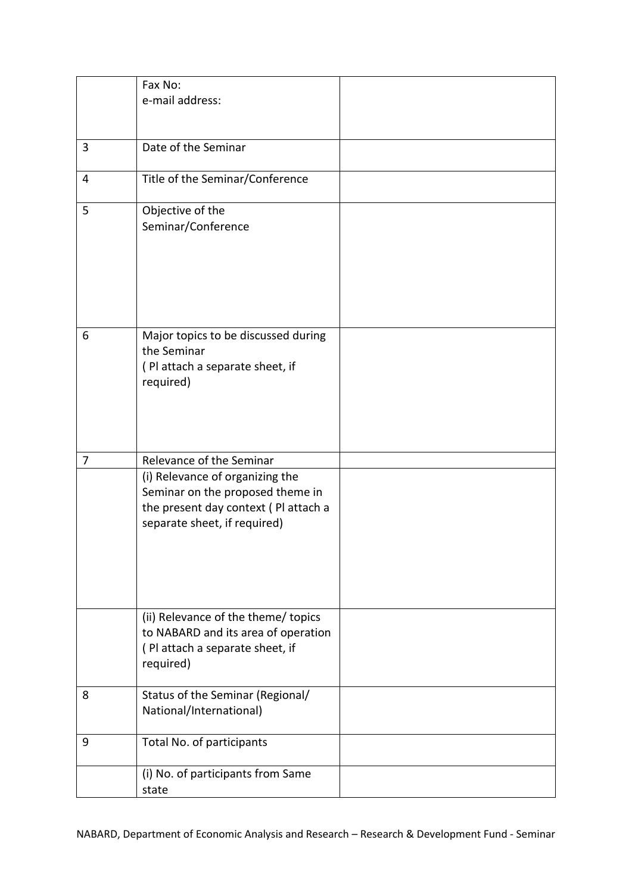|   | Fax No:                                                                                                                                     |  |
|---|---------------------------------------------------------------------------------------------------------------------------------------------|--|
|   | e-mail address:                                                                                                                             |  |
|   |                                                                                                                                             |  |
|   |                                                                                                                                             |  |
| 3 | Date of the Seminar                                                                                                                         |  |
| 4 | Title of the Seminar/Conference                                                                                                             |  |
| 5 | Objective of the<br>Seminar/Conference                                                                                                      |  |
| 6 | Major topics to be discussed during<br>the Seminar<br>(Pl attach a separate sheet, if<br>required)                                          |  |
| 7 | Relevance of the Seminar                                                                                                                    |  |
|   | (i) Relevance of organizing the<br>Seminar on the proposed theme in<br>the present day context (Pl attach a<br>separate sheet, if required) |  |
|   | (ii) Relevance of the theme/ topics<br>to NABARD and its area of operation<br>(Pl attach a separate sheet, if<br>required)                  |  |
| 8 | Status of the Seminar (Regional/<br>National/International)                                                                                 |  |
| 9 | Total No. of participants                                                                                                                   |  |
|   | (i) No. of participants from Same<br>state                                                                                                  |  |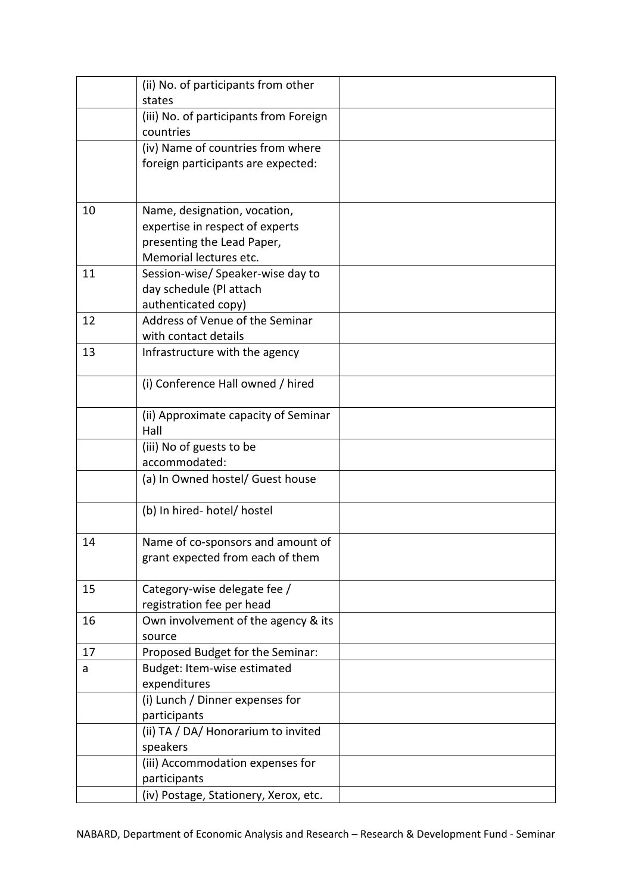|    | (ii) No. of participants from other    |  |
|----|----------------------------------------|--|
|    | states                                 |  |
|    | (iii) No. of participants from Foreign |  |
|    | countries                              |  |
|    | (iv) Name of countries from where      |  |
|    | foreign participants are expected:     |  |
|    |                                        |  |
|    |                                        |  |
| 10 | Name, designation, vocation,           |  |
|    | expertise in respect of experts        |  |
|    | presenting the Lead Paper,             |  |
|    | Memorial lectures etc.                 |  |
| 11 | Session-wise/Speaker-wise day to       |  |
|    | day schedule (Pl attach                |  |
|    | authenticated copy)                    |  |
| 12 | Address of Venue of the Seminar        |  |
|    | with contact details                   |  |
| 13 | Infrastructure with the agency         |  |
|    |                                        |  |
|    | (i) Conference Hall owned / hired      |  |
|    | (ii) Approximate capacity of Seminar   |  |
|    | Hall                                   |  |
|    | (iii) No of guests to be               |  |
|    | accommodated:                          |  |
|    | (a) In Owned hostel/ Guest house       |  |
|    | (b) In hired- hotel/ hostel            |  |
| 14 | Name of co-sponsors and amount of      |  |
|    | grant expected from each of them       |  |
|    |                                        |  |
| 15 | Category-wise delegate fee /           |  |
|    | registration fee per head              |  |
| 16 | Own involvement of the agency & its    |  |
|    | source                                 |  |
| 17 | Proposed Budget for the Seminar:       |  |
| a  | Budget: Item-wise estimated            |  |
|    | expenditures                           |  |
|    | (i) Lunch / Dinner expenses for        |  |
|    | participants                           |  |
|    | (ii) TA / DA/ Honorarium to invited    |  |
|    | speakers                               |  |
|    | (iii) Accommodation expenses for       |  |
|    | participants                           |  |
|    | (iv) Postage, Stationery, Xerox, etc.  |  |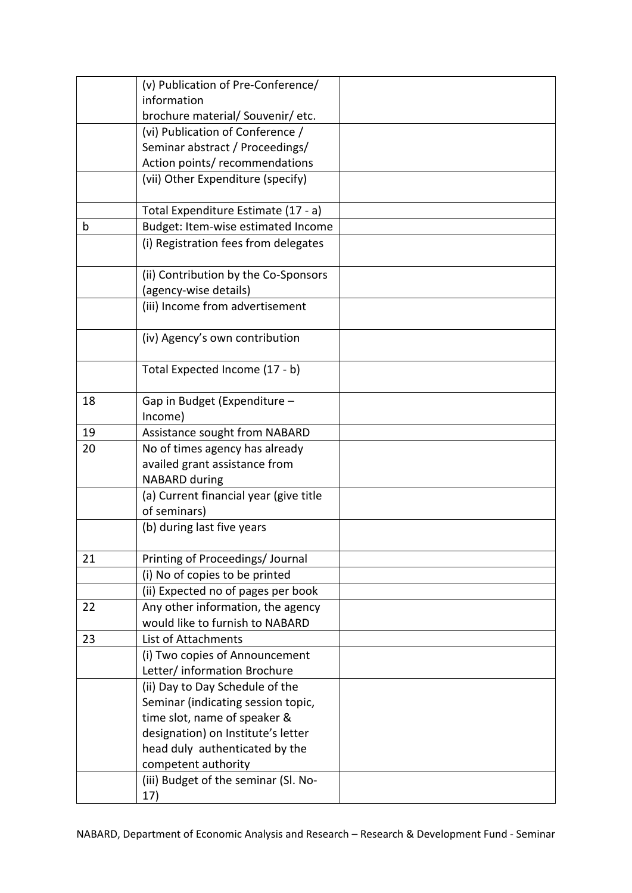|    | (v) Publication of Pre-Conference/      |  |
|----|-----------------------------------------|--|
|    | information                             |  |
|    | brochure material/ Souvenir/ etc.       |  |
|    | (vi) Publication of Conference /        |  |
|    | Seminar abstract / Proceedings/         |  |
|    | Action points/ recommendations          |  |
|    | (vii) Other Expenditure (specify)       |  |
|    |                                         |  |
|    | Total Expenditure Estimate (17 - a)     |  |
| b  | Budget: Item-wise estimated Income      |  |
|    | (i) Registration fees from delegates    |  |
|    | (ii) Contribution by the Co-Sponsors    |  |
|    | (agency-wise details)                   |  |
|    | (iii) Income from advertisement         |  |
|    |                                         |  |
|    | (iv) Agency's own contribution          |  |
|    | Total Expected Income (17 - b)          |  |
|    |                                         |  |
| 18 | Gap in Budget (Expenditure -<br>Income) |  |
| 19 | Assistance sought from NABARD           |  |
| 20 | No of times agency has already          |  |
|    | availed grant assistance from           |  |
|    | <b>NABARD during</b>                    |  |
|    | (a) Current financial year (give title  |  |
|    | of seminars)                            |  |
|    | (b) during last five years              |  |
|    |                                         |  |
| 21 | Printing of Proceedings/ Journal        |  |
|    | (i) No of copies to be printed          |  |
|    | (ii) Expected no of pages per book      |  |
| 22 | Any other information, the agency       |  |
|    | would like to furnish to NABARD         |  |
| 23 | List of Attachments                     |  |
|    | (i) Two copies of Announcement          |  |
|    | Letter/ information Brochure            |  |
|    | (ii) Day to Day Schedule of the         |  |
|    | Seminar (indicating session topic,      |  |
|    | time slot, name of speaker &            |  |
|    | designation) on Institute's letter      |  |
|    | head duly authenticated by the          |  |
|    | competent authority                     |  |
|    | (iii) Budget of the seminar (Sl. No-    |  |
|    | 17)                                     |  |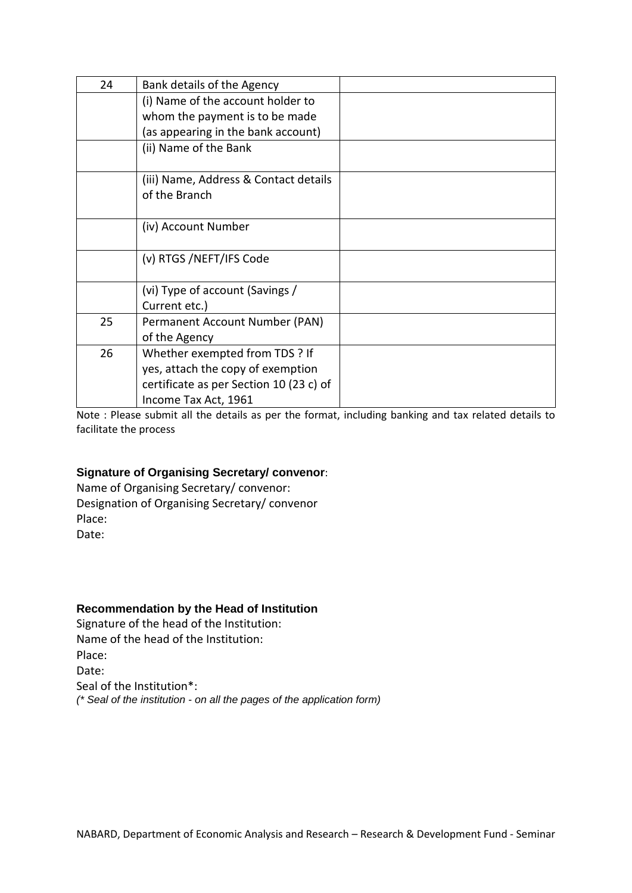| 24 | Bank details of the Agency              |  |
|----|-----------------------------------------|--|
|    | (i) Name of the account holder to       |  |
|    | whom the payment is to be made          |  |
|    | (as appearing in the bank account)      |  |
|    | (ii) Name of the Bank                   |  |
|    | (iii) Name, Address & Contact details   |  |
|    | of the Branch                           |  |
|    |                                         |  |
|    | (iv) Account Number                     |  |
|    |                                         |  |
|    | (v) RTGS /NEFT/IFS Code                 |  |
|    | (vi) Type of account (Savings /         |  |
|    | Current etc.)                           |  |
| 25 | Permanent Account Number (PAN)          |  |
|    | of the Agency                           |  |
| 26 | Whether exempted from TDS ? If          |  |
|    | yes, attach the copy of exemption       |  |
|    | certificate as per Section 10 (23 c) of |  |
|    | Income Tax Act, 1961                    |  |

Note : Please submit all the details as per the format, including banking and tax related details to facilitate the process

## **Signature of Organising Secretary/ convenor**:

Name of Organising Secretary/ convenor: Designation of Organising Secretary/ convenor Place: Date:

## **Recommendation by the Head of Institution**

Signature of the head of the Institution: Name of the head of the Institution: Place: Date: Seal of the Institution\*: *(\* Seal of the institution - on all the pages of the application form)*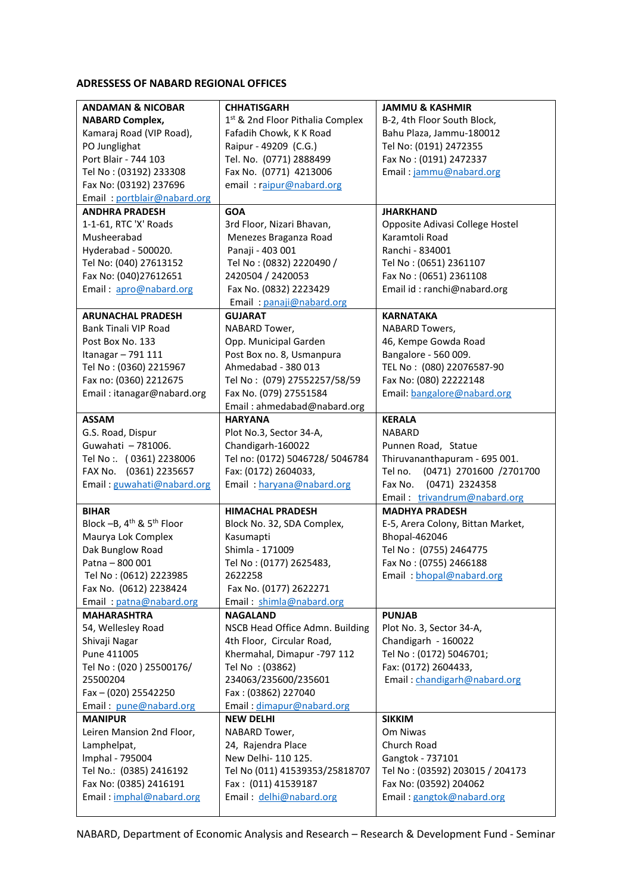## **ADRESSESS OF NABARD REGIONAL OFFICES**

| <b>ANDAMAN &amp; NICOBAR</b>                       | <b>CHHATISGARH</b>                           | <b>JAMMU &amp; KASHMIR</b>         |
|----------------------------------------------------|----------------------------------------------|------------------------------------|
| <b>NABARD Complex,</b>                             | 1 <sup>st</sup> & 2nd Floor Pithalia Complex | B-2, 4th Floor South Block,        |
| Kamaraj Road (VIP Road),                           | Fafadih Chowk, K K Road                      | Bahu Plaza, Jammu-180012           |
| PO Junglighat                                      | Raipur - 49209 (C.G.)                        | Tel No: (0191) 2472355             |
| Port Blair - 744 103                               | Tel. No. (0771) 2888499                      | Fax No: (0191) 2472337             |
| Tel No: (03192) 233308                             | Fax No. (0771) 4213006                       | Email: jammu@nabard.org            |
| Fax No: (03192) 237696                             | email: raipur@nabard.org                     |                                    |
| Email: portblair@nabard.org                        |                                              |                                    |
| <b>ANDHRA PRADESH</b>                              | <b>GOA</b>                                   | <b>JHARKHAND</b>                   |
| 1-1-61, RTC 'X' Roads                              | 3rd Floor, Nizari Bhavan,                    | Opposite Adivasi College Hostel    |
| Musheerabad                                        | Menezes Braganza Road                        | Karamtoli Road                     |
| Hyderabad - 500020.                                | Panaji - 403 001                             | Ranchi - 834001                    |
| Tel No: (040) 27613152                             | Tel No: (0832) 2220490 /                     | Tel No: (0651) 2361107             |
| Fax No: (040)27612651                              | 2420504 / 2420053                            | Fax No: (0651) 2361108             |
| Email: apro@nabard.org                             | Fax No. (0832) 2223429                       | Email id: ranchi@nabard.org        |
|                                                    | Email: panaji@nabard.org                     |                                    |
| <b>ARUNACHAL PRADESH</b>                           | <b>GUJARAT</b>                               | <b>KARNATAKA</b>                   |
| <b>Bank Tinali VIP Road</b>                        | NABARD Tower,                                | NABARD Towers,                     |
| Post Box No. 133                                   | Opp. Municipal Garden                        | 46, Kempe Gowda Road               |
| Itanagar - 791 111                                 | Post Box no. 8, Usmanpura                    | Bangalore - 560 009.               |
| Tel No: (0360) 2215967                             | Ahmedabad - 380 013                          | TEL No: (080) 22076587-90          |
| Fax no: (0360) 2212675                             | Tel No: (079) 27552257/58/59                 | Fax No: (080) 22222148             |
| Email: itanagar@nabard.org                         | Fax No. (079) 27551584                       | Email: bangalore@nabard.org        |
|                                                    | Email: ahmedabad@nabard.org                  |                                    |
| <b>ASSAM</b>                                       | <b>HARYANA</b>                               | <b>KERALA</b>                      |
| G.S. Road, Dispur                                  | Plot No.3, Sector 34-A,                      | <b>NABARD</b>                      |
| Guwahati - 781006.                                 | Chandigarh-160022                            | Punnen Road, Statue                |
| Tel No: (0361) 2238006                             | Tel no: (0172) 5046728/ 5046784              | Thiruvananthapuram - 695 001.      |
| FAX No. (0361) 2235657                             | Fax: (0172) 2604033,                         | Tel no.<br>(0471) 2701600 /2701700 |
| Email: guwahati@nabard.org                         | Email: haryana@nabard.org                    | (0471) 2324358<br>Fax No.          |
|                                                    |                                              | Email: trivandrum@nabard.org       |
| <b>BIHAR</b>                                       | <b>HIMACHAL PRADESH</b>                      | <b>MADHYA PRADESH</b>              |
| Block $-B$ , $4th$ & $5th$ Floor                   | Block No. 32, SDA Complex,                   | E-5, Arera Colony, Bittan Market,  |
| Maurya Lok Complex                                 | Kasumapti                                    | Bhopal-462046                      |
| Dak Bunglow Road                                   | Shimla - 171009                              | Tel No: (0755) 2464775             |
| Patna - 800 001                                    | Tel No: (0177) 2625483,                      | Fax No: (0755) 2466188             |
| Tel No: (0612) 2223985                             | 2622258                                      | Email: bhopal@nabard.org           |
| Fax No. (0612) 2238424                             | Fax No. (0177) 2622271                       |                                    |
| Email: patna@nabard.org                            | Email: shimla@nabard.org                     |                                    |
| <b>MAHARASHTRA</b>                                 | <b>NAGALAND</b>                              | <b>PUNJAB</b>                      |
| 54, Wellesley Road                                 | NSCB Head Office Admn. Building              | Plot No. 3, Sector 34-A,           |
| Shivaji Nagar                                      | 4th Floor, Circular Road,                    | Chandigarh - 160022                |
| Pune 411005                                        | Khermahal, Dimapur -797 112                  | Tel No: (0172) 5046701;            |
| Tel No: (020) 25500176/                            | Tel No: (03862)                              | Fax: (0172) 2604433,               |
| 25500204                                           | 234063/235600/235601                         | Email: chandigarh@nabard.org       |
| Fax - (020) 25542250                               | Fax: (03862) 227040                          |                                    |
| Email: pune@nabard.org                             | Email: dimapur@nabard.org                    |                                    |
| <b>MANIPUR</b>                                     | <b>NEW DELHI</b>                             | <b>SIKKIM</b>                      |
| Leiren Mansion 2nd Floor,                          | NABARD Tower,                                | Om Niwas                           |
| Lamphelpat,                                        | 24, Rajendra Place                           | Church Road                        |
| Imphal - 795004                                    | New Delhi- 110 125.                          | Gangtok - 737101                   |
|                                                    |                                              |                                    |
| Tel No.: (0385) 2416192                            | Tel No (011) 41539353/25818707               | Tel No: (03592) 203015 / 204173    |
| Fax No: (0385) 2416191<br>Email: imphal@nabard.org | Fax: (011) 41539187                          | Fax No: (03592) 204062             |
|                                                    |                                              |                                    |
|                                                    | Email: delhi@nabard.org                      | Email: gangtok@nabard.org          |

NABARD, Department of Economic Analysis and Research – Research & Development Fund - Seminar